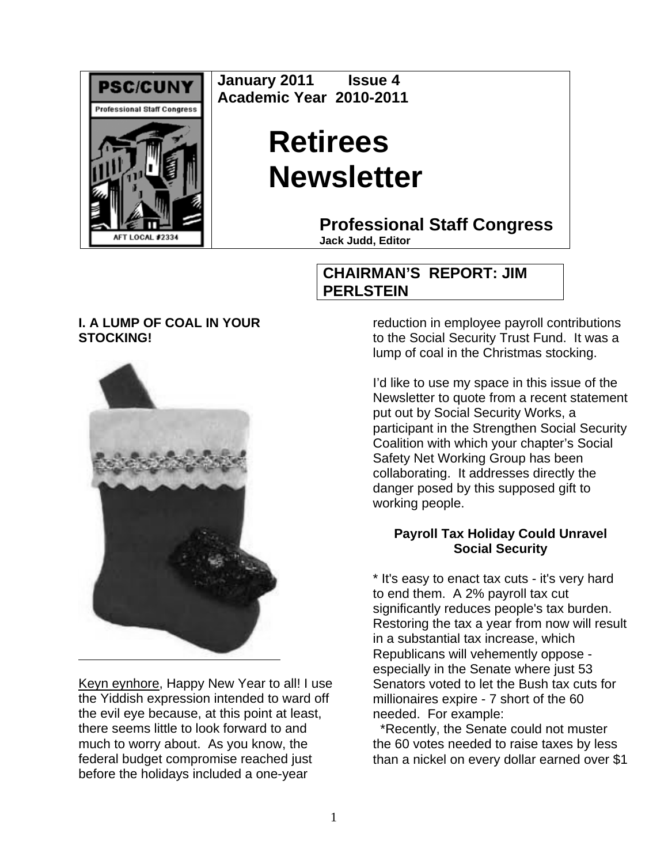

January 2011 **Issue 4 Academic Year 2010-2011** 

# **Retirees Newsletter**

**Professional Staff Congress Jack Judd, Editor**

# **CHAIRMAN'S REPORT: JIM PERLSTEIN**

## **I. A LUMP OF COAL IN YOUR STOCKING!**



Keyn eynhore, Happy New Year to all! I use the Yiddish expression intended to ward off the evil eye because, at this point at least, there seems little to look forward to and much to worry about. As you know, the federal budget compromise reached just before the holidays included a one-year

reduction in employee payroll contributions to the Social Security Trust Fund. It was a lump of coal in the Christmas stocking.

I'd like to use my space in this issue of the Newsletter to quote from a recent statement put out by Social Security Works, a participant in the Strengthen Social Security Coalition with which your chapter's Social Safety Net Working Group has been collaborating. It addresses directly the danger posed by this supposed gift to working people.

## **Payroll Tax Holiday Could Unravel Social Security**

\* It's easy to enact tax cuts - it's very hard to end them. A 2% payroll tax cut significantly reduces people's tax burden. Restoring the tax a year from now will result in a substantial tax increase, which Republicans will vehemently oppose especially in the Senate where just 53 Senators voted to let the Bush tax cuts for millionaires expire - 7 short of the 60 needed. For example:

 \*Recently, the Senate could not muster the 60 votes needed to raise taxes by less than a nickel on every dollar earned over \$1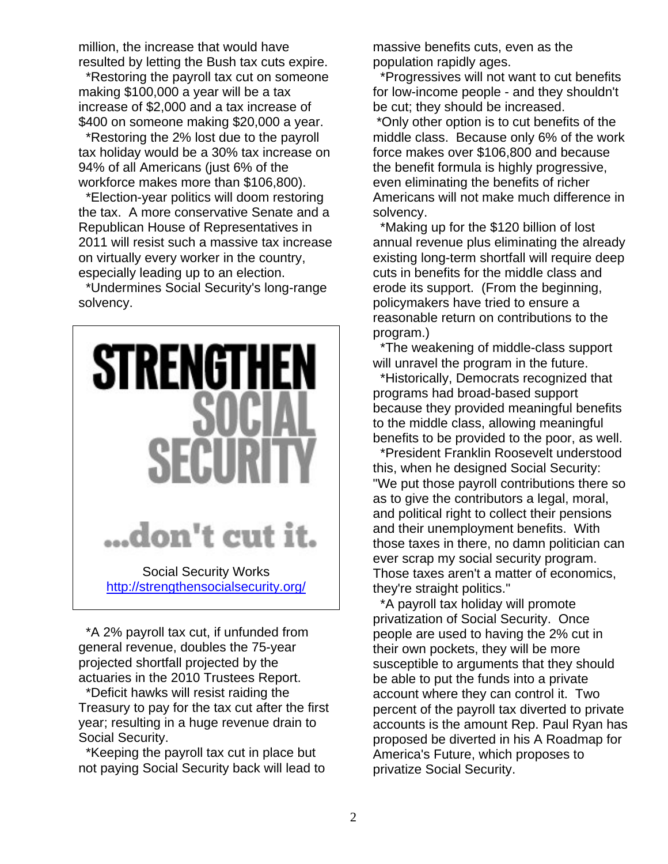million, the increase that would have resulted by letting the Bush tax cuts expire.

 \*Restoring the payroll tax cut on someone making \$100,000 a year will be a tax increase of \$2,000 and a tax increase of \$400 on someone making \$20,000 a year.

 \*Restoring the 2% lost due to the payroll tax holiday would be a 30% tax increase on 94% of all Americans (just 6% of the workforce makes more than \$106,800).

 \*Election-year politics will doom restoring the tax. A more conservative Senate and a Republican House of Representatives in 2011 will resist such a massive tax increase on virtually every worker in the country, especially leading up to an election.

 \*Undermines Social Security's long-range solvency.



 \*A 2% payroll tax cut, if unfunded from general revenue, doubles the 75-year projected shortfall projected by the actuaries in the 2010 Trustees Report.

 \*Deficit hawks will resist raiding the Treasury to pay for the tax cut after the first year; resulting in a huge revenue drain to Social Security.

 \*Keeping the payroll tax cut in place but not paying Social Security back will lead to massive benefits cuts, even as the population rapidly ages.

 \*Progressives will not want to cut benefits for low-income people - and they shouldn't be cut; they should be increased.

 \*Only other option is to cut benefits of the middle class. Because only 6% of the work force makes over \$106,800 and because the benefit formula is highly progressive, even eliminating the benefits of richer Americans will not make much difference in solvency.

 \*Making up for the \$120 billion of lost annual revenue plus eliminating the already existing long-term shortfall will require deep cuts in benefits for the middle class and erode its support. (From the beginning, policymakers have tried to ensure a reasonable return on contributions to the program.)

 \*The weakening of middle-class support will unravel the program in the future.

 \*Historically, Democrats recognized that programs had broad-based support because they provided meaningful benefits to the middle class, allowing meaningful benefits to be provided to the poor, as well.

 \*President Franklin Roosevelt understood this, when he designed Social Security: "We put those payroll contributions there so as to give the contributors a legal, moral, and political right to collect their pensions and their unemployment benefits. With those taxes in there, no damn politician can ever scrap my social security program. Those taxes aren't a matter of economics, they're straight politics."

 \*A payroll tax holiday will promote privatization of Social Security. Once people are used to having the 2% cut in their own pockets, they will be more susceptible to arguments that they should be able to put the funds into a private account where they can control it. Two percent of the payroll tax diverted to private accounts is the amount Rep. Paul Ryan has proposed be diverted in his A Roadmap for America's Future, which proposes to privatize Social Security.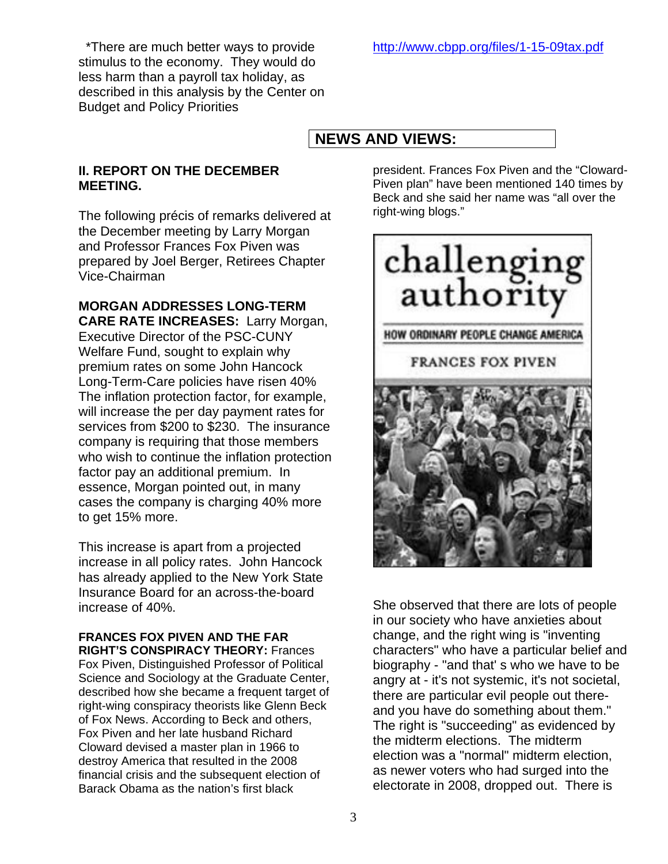\*There are much better ways to provide stimulus to the economy. They would do less harm than a payroll tax holiday, as described in this analysis by the Center on Budget and Policy Priorities

# **NEWS AND VIEWS:**

## **II. REPORT ON THE DECEMBER MEETING.**

The following précis of remarks delivered at the December meeting by Larry Morgan and Professor Frances Fox Piven was prepared by Joel Berger, Retirees Chapter Vice-Chairman

**MORGAN ADDRESSES LONG-TERM CARE RATE INCREASES:** Larry Morgan, Executive Director of the PSC-CUNY Welfare Fund, sought to explain why premium rates on some John Hancock Long-Term-Care policies have risen 40% The inflation protection factor, for example, will increase the per day payment rates for services from \$200 to \$230. The insurance company is requiring that those members who wish to continue the inflation protection factor pay an additional premium. In essence, Morgan pointed out, in many cases the company is charging 40% more to get 15% more.

This increase is apart from a projected increase in all policy rates. John Hancock has already applied to the New York State Insurance Board for an across-the-board increase of 40%.

**FRANCES FOX PIVEN AND THE FAR RIGHT'S CONSPIRACY THEORY:** Frances Fox Piven, Distinguished Professor of Political Science and Sociology at the Graduate Center, described how she became a frequent target of right-wing conspiracy theorists like Glenn Beck of Fox News. According to Beck and others, Fox Piven and her late husband Richard Cloward devised a master plan in 1966 to destroy America that resulted in the 2008 financial crisis and the subsequent election of Barack Obama as the nation's first black

president. Frances Fox Piven and the "Cloward-Piven plan" have been mentioned 140 times by Beck and she said her name was "all over the right-wing blogs."



She observed that there are lots of people in our society who have anxieties about change, and the right wing is "inventing characters" who have a particular belief and biography - "and that' s who we have to be angry at - it's not systemic, it's not societal, there are particular evil people out thereand you have do something about them." The right is "succeeding" as evidenced by the midterm elections. The midterm election was a "normal" midterm election, as newer voters who had surged into the electorate in 2008, dropped out. There is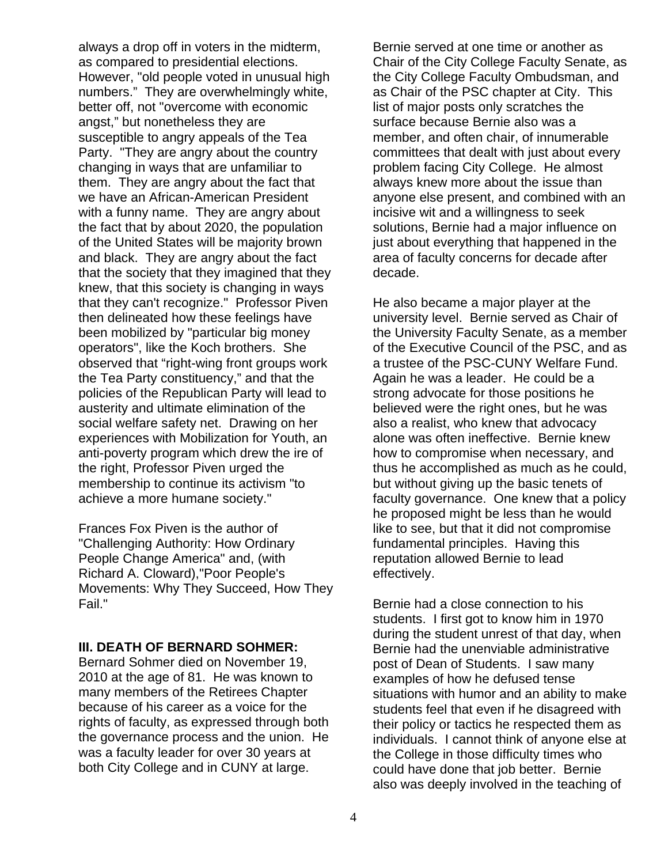always a drop off in voters in the midterm, as compared to presidential elections. However, "old people voted in unusual high numbers." They are overwhelmingly white, better off, not "overcome with economic angst," but nonetheless they are susceptible to angry appeals of the Tea Party. "They are angry about the country changing in ways that are unfamiliar to them. They are angry about the fact that we have an African-American President with a funny name. They are angry about the fact that by about 2020, the population of the United States will be majority brown and black. They are angry about the fact that the society that they imagined that they knew, that this society is changing in ways that they can't recognize." Professor Piven then delineated how these feelings have been mobilized by "particular big money operators", like the Koch brothers. She observed that "right-wing front groups work the Tea Party constituency," and that the policies of the Republican Party will lead to austerity and ultimate elimination of the social welfare safety net. Drawing on her experiences with Mobilization for Youth, an anti-poverty program which drew the ire of the right, Professor Piven urged the membership to continue its activism "to achieve a more humane society."

Frances Fox Piven is the author of "Challenging Authority: How Ordinary People Change America" and, (with Richard A. Cloward),"Poor People's Movements: Why They Succeed, How They Fail."

#### **III. DEATH OF BERNARD SOHMER:**

Bernard Sohmer died on November 19, 2010 at the age of 81. He was known to many members of the Retirees Chapter because of his career as a voice for the rights of faculty, as expressed through both the governance process and the union. He was a faculty leader for over 30 years at both City College and in CUNY at large.

Bernie served at one time or another as Chair of the City College Faculty Senate, as the City College Faculty Ombudsman, and as Chair of the PSC chapter at City. This list of major posts only scratches the surface because Bernie also was a member, and often chair, of innumerable committees that dealt with just about every problem facing City College. He almost always knew more about the issue than anyone else present, and combined with an incisive wit and a willingness to seek solutions, Bernie had a major influence on just about everything that happened in the area of faculty concerns for decade after decade.

He also became a major player at the university level. Bernie served as Chair of the University Faculty Senate, as a member of the Executive Council of the PSC, and as a trustee of the PSC-CUNY Welfare Fund. Again he was a leader. He could be a strong advocate for those positions he believed were the right ones, but he was also a realist, who knew that advocacy alone was often ineffective. Bernie knew how to compromise when necessary, and thus he accomplished as much as he could, but without giving up the basic tenets of faculty governance. One knew that a policy he proposed might be less than he would like to see, but that it did not compromise fundamental principles. Having this reputation allowed Bernie to lead effectively.

Bernie had a close connection to his students. I first got to know him in 1970 during the student unrest of that day, when Bernie had the unenviable administrative post of Dean of Students. I saw many examples of how he defused tense situations with humor and an ability to make students feel that even if he disagreed with their policy or tactics he respected them as individuals. I cannot think of anyone else at the College in those difficulty times who could have done that job better. Bernie also was deeply involved in the teaching of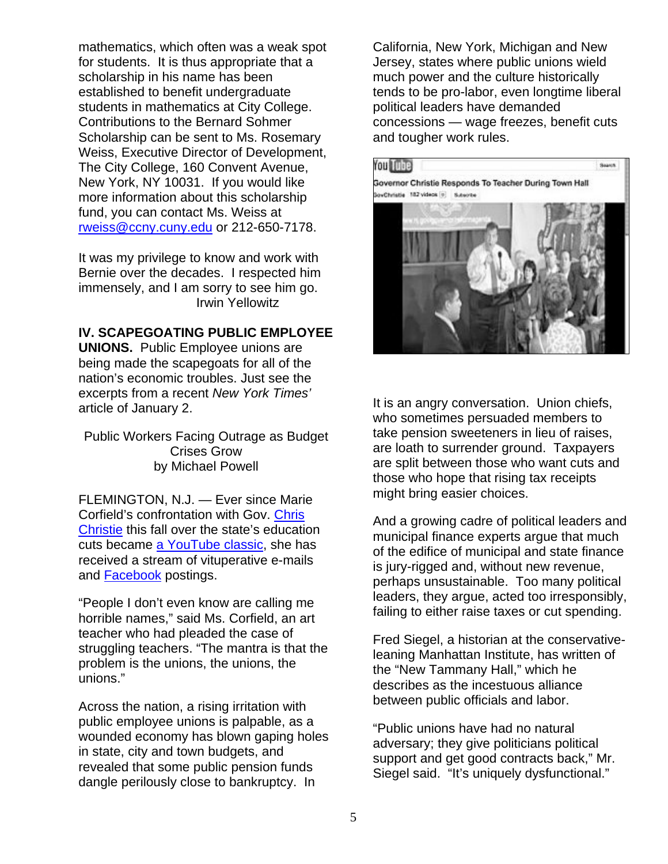mathematics, which often was a weak spot for students. It is thus appropriate that a scholarship in his name has been established to benefit undergraduate students in mathematics at City College. Contributions to the Bernard Sohmer Scholarship can be sent to Ms. Rosemary Weiss, Executive Director of Development, The City College, 160 Convent Avenue, New York, NY 10031. If you would like more information about this scholarship fund, you can contact Ms. Weiss at rweiss@ccny.cuny.edu or 212-650-7178.

It was my privilege to know and work with Bernie over the decades. I respected him immensely, and I am sorry to see him go. Irwin Yellowitz

#### **IV. SCAPEGOATING PUBLIC EMPLOYEE**

**UNIONS.** Public Employee unions are being made the scapegoats for all of the nation's economic troubles. Just see the excerpts from a recent *New York Times'* article of January 2.

Public Workers Facing Outrage as Budget Crises Grow by Michael Powell

FLEMINGTON, N.J. — Ever since Marie Corfield's confrontation with Gov. Chris Christie this fall over the state's education cuts became a YouTube classic, she has received a stream of vituperative e-mails and Facebook postings.

"People I don't even know are calling me horrible names," said Ms. Corfield, an art teacher who had pleaded the case of struggling teachers. "The mantra is that the problem is the unions, the unions, the unions."

Across the nation, a rising irritation with public employee unions is palpable, as a wounded economy has blown gaping holes in state, city and town budgets, and revealed that some public pension funds dangle perilously close to bankruptcy. In

California, New York, Michigan and New Jersey, states where public unions wield much power and the culture historically tends to be pro-labor, even longtime liberal political leaders have demanded concessions — wage freezes, benefit cuts and tougher work rules.



It is an angry conversation. Union chiefs, who sometimes persuaded members to take pension sweeteners in lieu of raises, are loath to surrender ground. Taxpayers are split between those who want cuts and those who hope that rising tax receipts might bring easier choices.

And a growing cadre of political leaders and municipal finance experts argue that much of the edifice of municipal and state finance is jury-rigged and, without new revenue, perhaps unsustainable. Too many political leaders, they argue, acted too irresponsibly, failing to either raise taxes or cut spending.

Fred Siegel, a historian at the conservativeleaning Manhattan Institute, has written of the "New Tammany Hall," which he describes as the incestuous alliance between public officials and labor.

"Public unions have had no natural adversary; they give politicians political support and get good contracts back," Mr. Siegel said. "It's uniquely dysfunctional."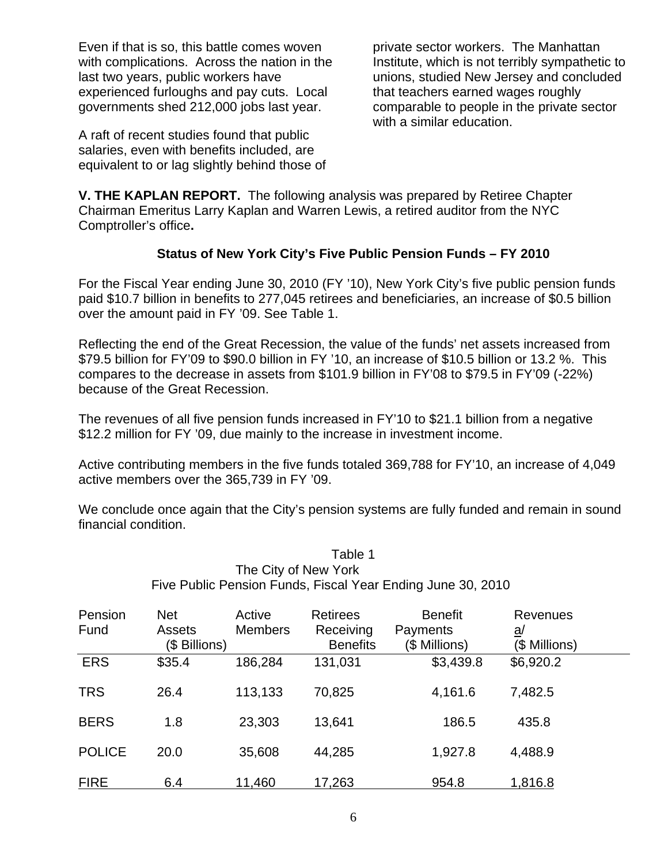Even if that is so, this battle comes woven with complications. Across the nation in the last two years, public workers have experienced furloughs and pay cuts. Local governments shed 212,000 jobs last year.

A raft of recent studies found that public salaries, even with benefits included, are equivalent to or lag slightly behind those of

private sector workers. The Manhattan Institute, which is not terribly sympathetic to unions, studied New Jersey and concluded that teachers earned wages roughly comparable to people in the private sector with a similar education.

**V. THE KAPLAN REPORT.** The following analysis was prepared by Retiree Chapter Chairman Emeritus Larry Kaplan and Warren Lewis, a retired auditor from the NYC Comptroller's office**.** 

### **Status of New York City's Five Public Pension Funds – FY 2010**

For the Fiscal Year ending June 30, 2010 (FY '10), New York City's five public pension funds paid \$10.7 billion in benefits to 277,045 retirees and beneficiaries, an increase of \$0.5 billion over the amount paid in FY '09. See Table 1.

Reflecting the end of the Great Recession, the value of the funds' net assets increased from \$79.5 billion for FY'09 to \$90.0 billion in FY '10, an increase of \$10.5 billion or 13.2 %. This compares to the decrease in assets from \$101.9 billion in FY'08 to \$79.5 in FY'09 (-22%) because of the Great Recession.

The revenues of all five pension funds increased in FY'10 to \$21.1 billion from a negative \$12.2 million for FY '09, due mainly to the increase in investment income.

Active contributing members in the five funds totaled 369,788 for FY'10, an increase of 4,049 active members over the 365,739 in FY '09.

We conclude once again that the City's pension systems are fully funded and remain in sound financial condition.

|                 |                                       |                          | Table 1                                         |                                                             |                                               |  |
|-----------------|---------------------------------------|--------------------------|-------------------------------------------------|-------------------------------------------------------------|-----------------------------------------------|--|
|                 |                                       | The City of New York     |                                                 |                                                             |                                               |  |
|                 |                                       |                          |                                                 | Five Public Pension Funds, Fiscal Year Ending June 30, 2010 |                                               |  |
| Pension<br>Fund | <b>Net</b><br>Assets<br>(\$ Billions) | Active<br><b>Members</b> | <b>Retirees</b><br>Receiving<br><b>Benefits</b> | <b>Benefit</b><br><b>Payments</b><br>(\$ Millions)          | <b>Revenues</b><br><u>a/</u><br>(\$ Millions) |  |
| <b>ERS</b>      | \$35.4                                | 186,284                  | 131,031                                         | \$3,439.8                                                   | \$6,920.2                                     |  |
| <b>TRS</b>      | 26.4                                  | 113,133                  | 70,825                                          | 4,161.6                                                     | 7,482.5                                       |  |
| <b>BERS</b>     | 1.8                                   | 23,303                   | 13,641                                          | 186.5                                                       | 435.8                                         |  |
| <b>POLICE</b>   | 20.0                                  | 35,608                   | 44,285                                          | 1,927.8                                                     | 4,488.9                                       |  |
| <b>FIRE</b>     | 6.4                                   | 11,460                   | 17,263                                          | 954.8                                                       | 1,816.8                                       |  |